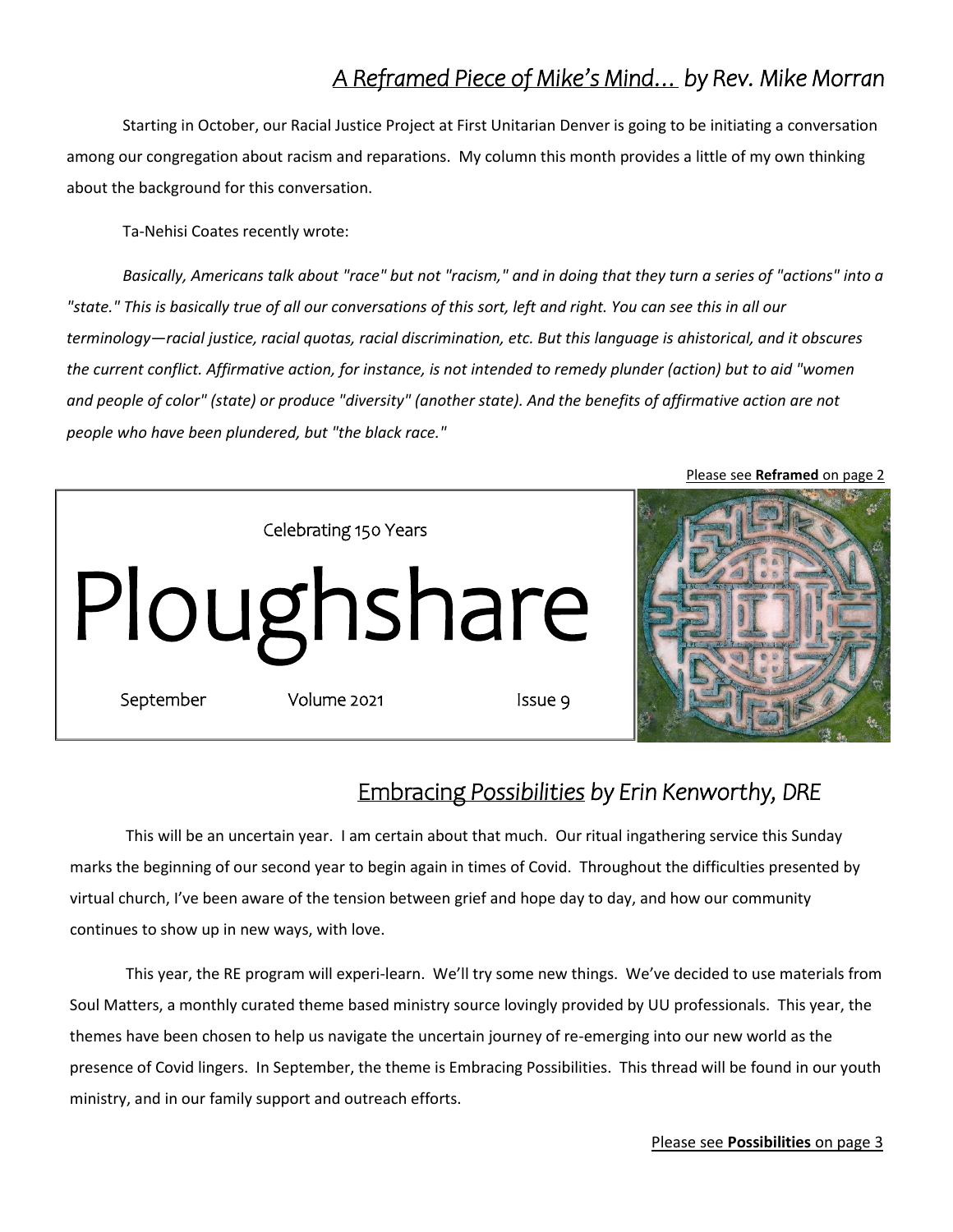# *A Reframed Piece of Mike's Mind… by Rev. Mike Morran*

Starting in October, our Racial Justice Project at First Unitarian Denver is going to be initiating a conversation among our congregation about racism and reparations. My column this month provides a little of my own thinking about the background for this conversation.

Ta-Nehisi Coates recently wrote:

*Basically, Americans talk about "race" but not "racism," and in doing that they turn a series of "actions" into a "state." This is basically true of all our conversations of this sort, left and right. You can see this in all our terminology—racial justice, racial quotas, racial discrimination, etc. But this language is ahistorical, and it obscures the current conflict. Affirmative action, for instance, is not intended to remedy plunder (action) but to aid "women*  and people of color" (state) or produce "diversity" (another state). And the benefits of affirmative action are not *people who have been plundered, but "the black race."*



### Embracing *Possibilities by Erin Kenworthy, DRE*

This will be an uncertain year. I am certain about that much. Our ritual ingathering service this Sunday marks the beginning of our second year to begin again in times of Covid. Throughout the difficulties presented by virtual church, I've been aware of the tension between grief and hope day to day, and how our community continues to show up in new ways, with love.

This year, the RE program will experi-learn. We'll try some new things. We've decided to use materials from Soul Matters, a monthly curated theme based ministry source lovingly provided by UU professionals. This year, the themes have been chosen to help us navigate the uncertain journey of re-emerging into our new world as the presence of Covid lingers. In September, the theme is Embracing Possibilities. This thread will be found in our youth ministry, and in our family support and outreach efforts.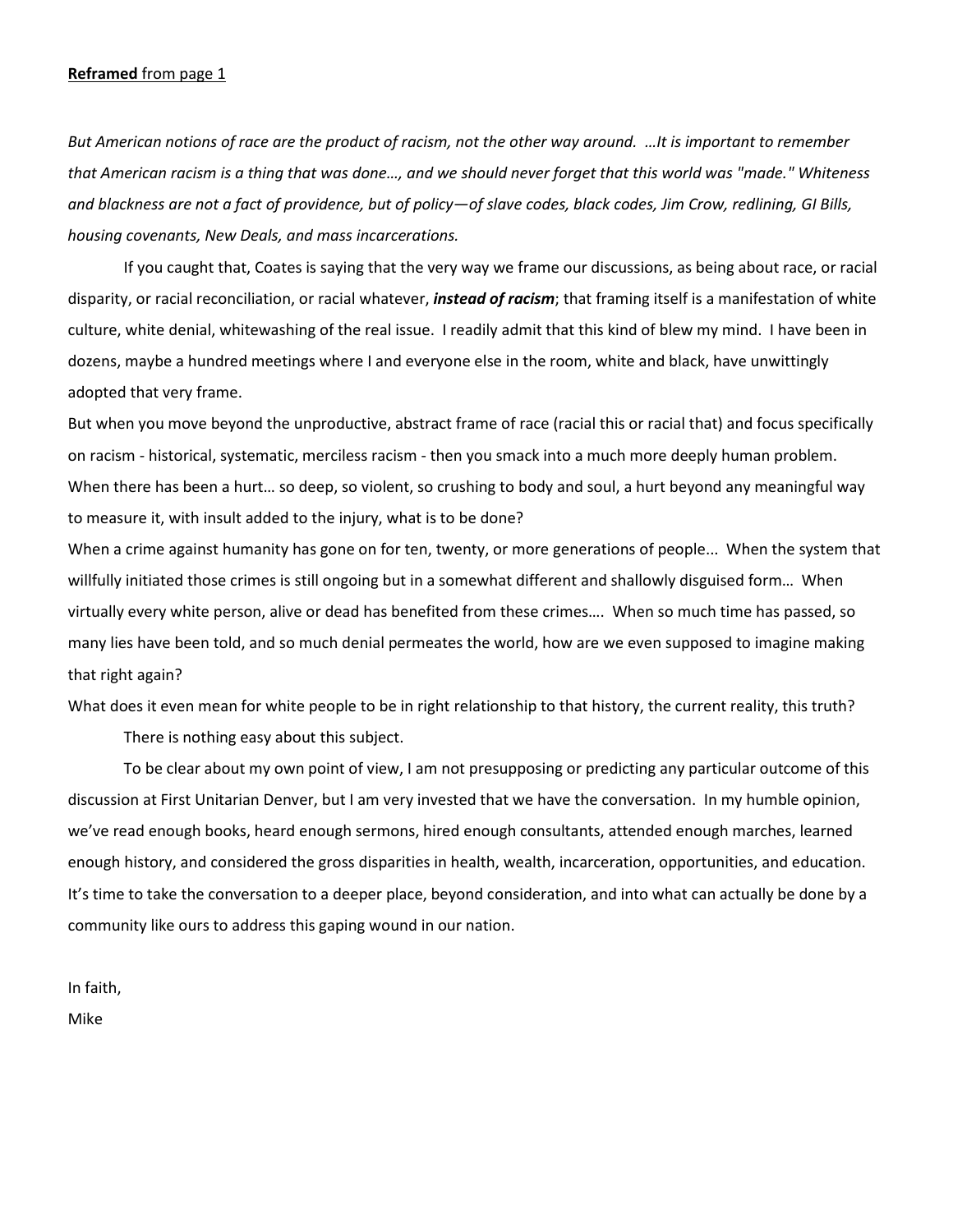#### **Reframed** from page 1

*But American notions of race are the product of racism, not the other way around. …It is important to remember that American racism is a thing that was done…, and we should never forget that this world was "made." Whiteness and blackness are not a fact of providence, but of policy—of slave codes, black codes, Jim Crow, redlining, GI Bills, housing covenants, New Deals, and mass incarcerations.* 

If you caught that, Coates is saying that the very way we frame our discussions, as being about race, or racial disparity, or racial reconciliation, or racial whatever, *instead of racism*; that framing itself is a manifestation of white culture, white denial, whitewashing of the real issue. I readily admit that this kind of blew my mind. I have been in dozens, maybe a hundred meetings where I and everyone else in the room, white and black, have unwittingly adopted that very frame.

But when you move beyond the unproductive, abstract frame of race (racial this or racial that) and focus specifically on racism - historical, systematic, merciless racism - then you smack into a much more deeply human problem. When there has been a hurt… so deep, so violent, so crushing to body and soul, a hurt beyond any meaningful way to measure it, with insult added to the injury, what is to be done?

When a crime against humanity has gone on for ten, twenty, or more generations of people... When the system that willfully initiated those crimes is still ongoing but in a somewhat different and shallowly disguised form... When virtually every white person, alive or dead has benefited from these crimes…. When so much time has passed, so many lies have been told, and so much denial permeates the world, how are we even supposed to imagine making that right again?

What does it even mean for white people to be in right relationship to that history, the current reality, this truth?

There is nothing easy about this subject.

 To be clear about my own point of view, I am not presupposing or predicting any particular outcome of this discussion at First Unitarian Denver, but I am very invested that we have the conversation. In my humble opinion, we've read enough books, heard enough sermons, hired enough consultants, attended enough marches, learned enough history, and considered the gross disparities in health, wealth, incarceration, opportunities, and education. It's time to take the conversation to a deeper place, beyond consideration, and into what can actually be done by a community like ours to address this gaping wound in our nation.

In faith,

Mike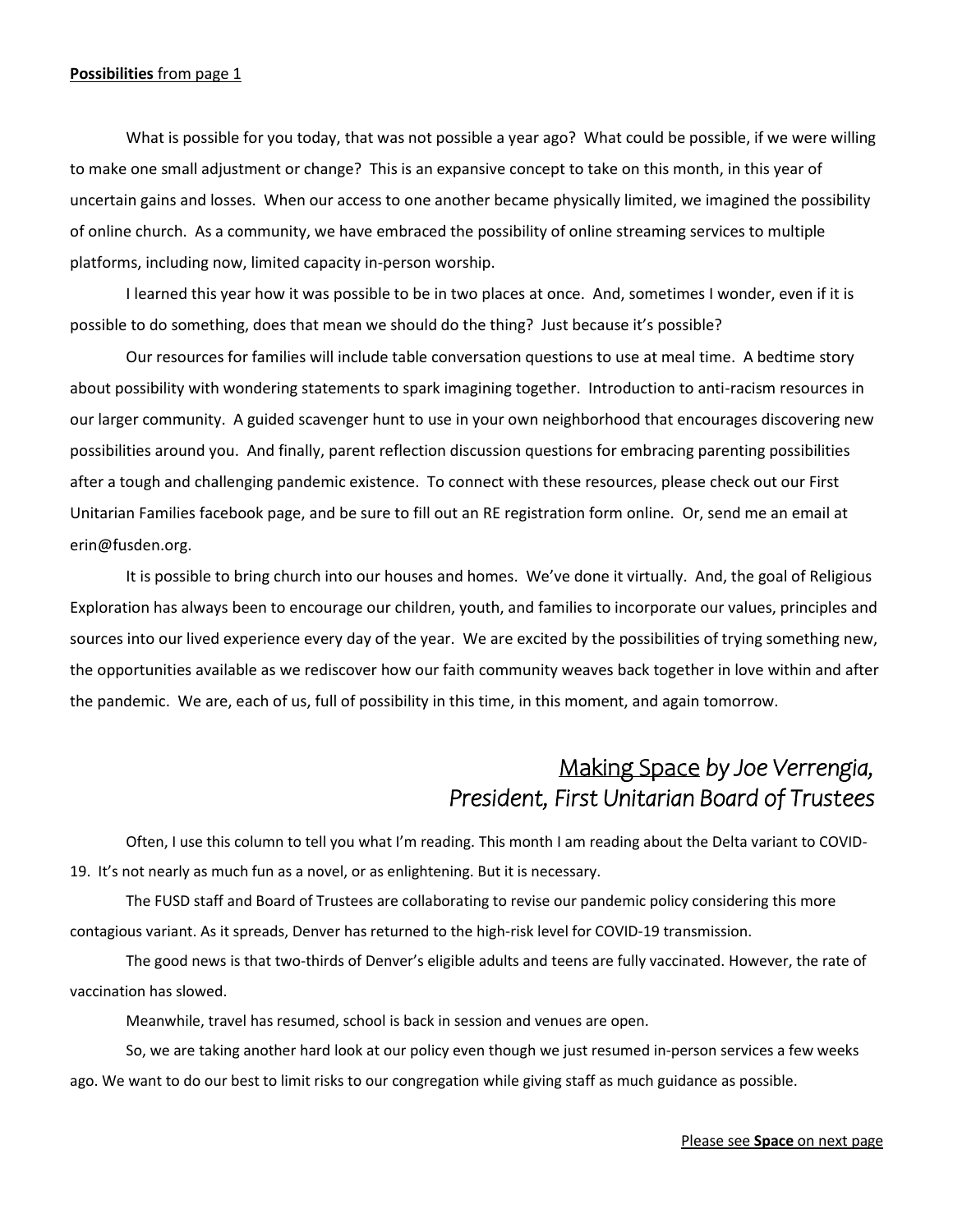#### **Possibilities** from page 1

What is possible for you today, that was not possible a year ago? What could be possible, if we were willing to make one small adjustment or change? This is an expansive concept to take on this month, in this year of uncertain gains and losses. When our access to one another became physically limited, we imagined the possibility of online church. As a community, we have embraced the possibility of online streaming services to multiple platforms, including now, limited capacity in-person worship.

I learned this year how it was possible to be in two places at once. And, sometimes I wonder, even if it is possible to do something, does that mean we should do the thing? Just because it's possible?

Our resources for families will include table conversation questions to use at meal time. A bedtime story about possibility with wondering statements to spark imagining together. Introduction to anti-racism resources in our larger community. A guided scavenger hunt to use in your own neighborhood that encourages discovering new possibilities around you. And finally, parent reflection discussion questions for embracing parenting possibilities after a tough and challenging pandemic existence. To connect with these resources, please check out our First Unitarian Families facebook page, and be sure to fill out an RE registration form online. Or, send me an email at erin@fusden.org.

It is possible to bring church into our houses and homes. We've done it virtually. And, the goal of Religious Exploration has always been to encourage our children, youth, and families to incorporate our values, principles and sources into our lived experience every day of the year. We are excited by the possibilities of trying something new, the opportunities available as we rediscover how our faith community weaves back together in love within and after the pandemic. We are, each of us, full of possibility in this time, in this moment, and again tomorrow.

### Making Space *by Joe Verrengia, President, First Unitarian Board of Trustees*

Often, I use this column to tell you what I'm reading. This month I am reading about the Delta variant to COVID-19. It's not nearly as much fun as a novel, or as enlightening. But it is necessary.

The FUSD staff and Board of Trustees are collaborating to revise our pandemic policy considering this more contagious variant. As it spreads, Denver has returned to the high-risk level for COVID-19 transmission.

The good news is that two-thirds of Denver's eligible adults and teens are fully vaccinated. However, the rate of vaccination has slowed.

Meanwhile, travel has resumed, school is back in session and venues are open.

So, we are taking another hard look at our policy even though we just resumed in-person services a few weeks ago. We want to do our best to limit risks to our congregation while giving staff as much guidance as possible.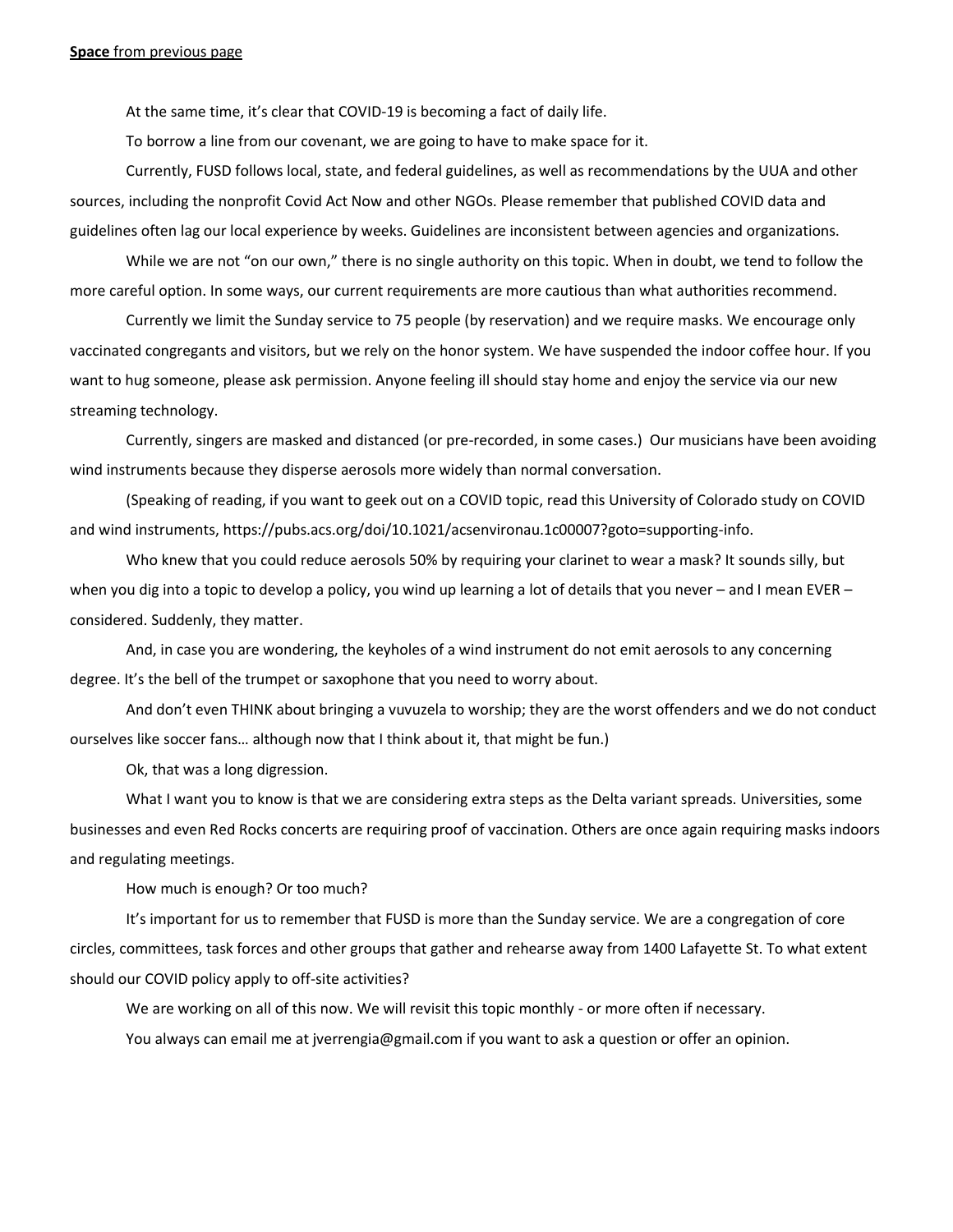At the same time, it's clear that COVID-19 is becoming a fact of daily life.

To borrow a line from our covenant, we are going to have to make space for it.

Currently, FUSD follows local, state, and federal guidelines, as well as recommendations by the UUA and other sources, including the nonprofit Covid Act Now and other NGOs. Please remember that published COVID data and guidelines often lag our local experience by weeks. Guidelines are inconsistent between agencies and organizations.

While we are not "on our own," there is no single authority on this topic. When in doubt, we tend to follow the more careful option. In some ways, our current requirements are more cautious than what authorities recommend.

Currently we limit the Sunday service to 75 people (by reservation) and we require masks. We encourage only vaccinated congregants and visitors, but we rely on the honor system. We have suspended the indoor coffee hour. If you want to hug someone, please ask permission. Anyone feeling ill should stay home and enjoy the service via our new streaming technology.

Currently, singers are masked and distanced (or pre-recorded, in some cases.) Our musicians have been avoiding wind instruments because they disperse aerosols more widely than normal conversation.

(Speaking of reading, if you want to geek out on a COVID topic, read this University of Colorado study on COVID and wind instruments, https://pubs.acs.org/doi/10.1021/acsenvironau.1c00007?goto=supporting-info.

Who knew that you could reduce aerosols 50% by requiring your clarinet to wear a mask? It sounds silly, but when you dig into a topic to develop a policy, you wind up learning a lot of details that you never – and I mean EVER – considered. Suddenly, they matter.

And, in case you are wondering, the keyholes of a wind instrument do not emit aerosols to any concerning degree. It's the bell of the trumpet or saxophone that you need to worry about.

And don't even THINK about bringing a vuvuzela to worship; they are the worst offenders and we do not conduct ourselves like soccer fans… although now that I think about it, that might be fun.)

Ok, that was a long digression.

What I want you to know is that we are considering extra steps as the Delta variant spreads. Universities, some businesses and even Red Rocks concerts are requiring proof of vaccination. Others are once again requiring masks indoors and regulating meetings.

How much is enough? Or too much?

It's important for us to remember that FUSD is more than the Sunday service. We are a congregation of core circles, committees, task forces and other groups that gather and rehearse away from 1400 Lafayette St. To what extent should our COVID policy apply to off-site activities?

We are working on all of this now. We will revisit this topic monthly - or more often if necessary.

You always can email me at jverrengia@gmail.com if you want to ask a question or offer an opinion.